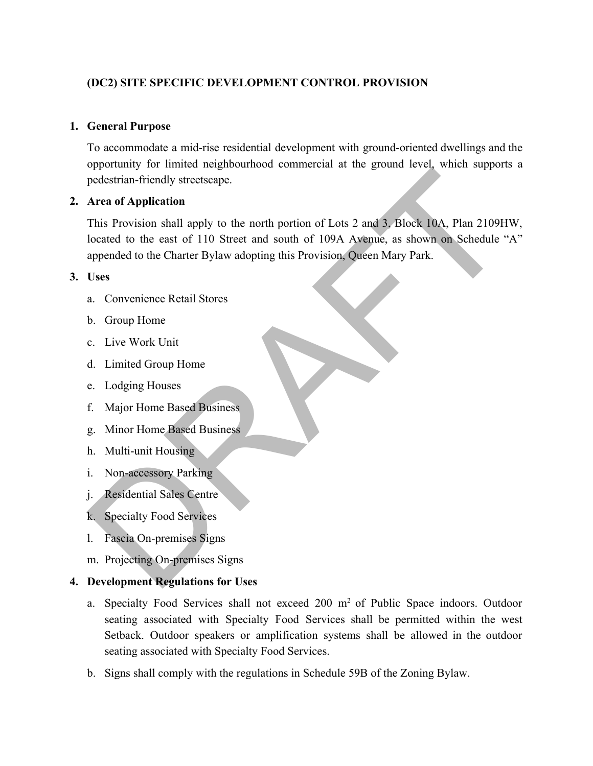### **(DC2) SITE SPECIFIC DEVELOPMENT CONTROL PROVISION**

#### **1. General Purpose**

To accommodate a mid-rise residential development with ground-oriented dwellings and the opportunity for limited neighbourhood commercial at the ground level, which supports a pedestrian-friendly streetscape.

#### **2. Area of Application**

This Provision shall apply to the north portion of Lots 2 and 3, Block 10A, Plan 2109HW, located to the east of 110 Street and south of 109A Avenue, as shown on Schedule "A" appended to the Charter Bylaw adopting this Provision, Queen Mary Park. Provident-<br>
Special Streets and Application<br>
This Provision shall apply to the north portion of Lots 2 and 3, Block 10A, Plan 2109H<br>
boated to the cast of 110 Street and south of 109A Ayenuc, as shown on Schedule<br>
appended

#### **3. Uses**

- a. Convenience Retail Stores
- b. Group Home
- c. Live Work Unit
- d. Limited Group Home
- e. Lodging Houses
- f. Major Home Based Business
- g. Minor Home Based Business
- h. Multi-unit Housing
- i. Non-accessory Parking
- j. Residential Sales Centre
- k. Specialty Food Services
- l. Fascia On-premises Signs
- m. Projecting On-premises Signs

#### **4. Development Regulations for Uses**

- a. Specialty Food Services shall not exceed 200 m<sup>2</sup> of Public Space indoors. Outdoor seating associated with Specialty Food Services shall be permitted within the west Setback. Outdoor speakers or amplification systems shall be allowed in the outdoor seating associated with Specialty Food Services.
- b. Signs shall comply with the regulations in Schedule 59B of the Zoning Bylaw.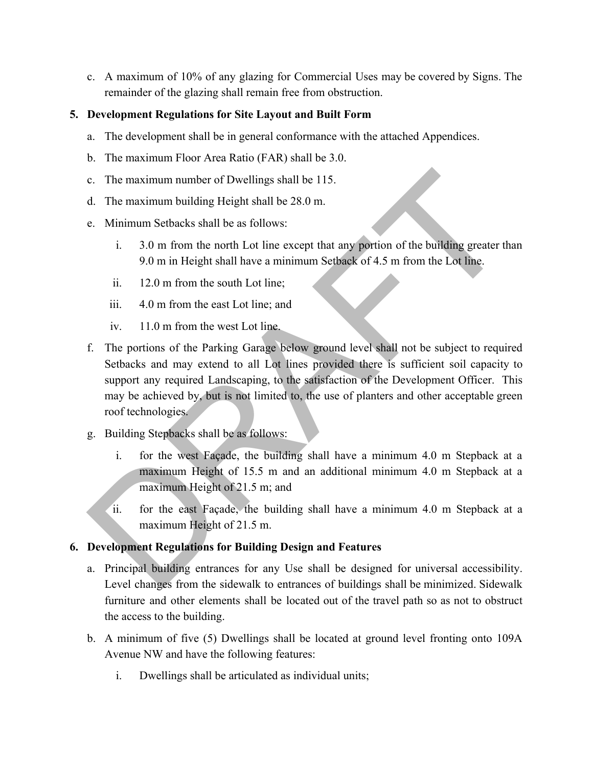c. A maximum of 10% of any glazing for Commercial Uses may be covered by Signs. The remainder of the glazing shall remain free from obstruction.

## **5. Development Regulations for Site Layout and Built Form**

- a. The development shall be in general conformance with the attached Appendices.
- b. The maximum Floor Area Ratio (FAR) shall be 3.0.
- c. The maximum number of Dwellings shall be 115.
- d. The maximum building Height shall be 28.0 m.
- e. Minimum Setbacks shall be as follows:
	- i. 3.0 m from the north Lot line except that any portion of the building greater than 9.0 m in Height shall have a minimum Setback of 4.5 m from the Lot line.
	- ii. 12.0 m from the south Lot line;
	- iii. 4.0 m from the east Lot line; and
	- iv. 11.0 m from the west Lot line.
- f. The portions of the Parking Garage below ground level shall not be subject to required Setbacks and may extend to all Lot lines provided there is sufficient soil capacity to support any required Landscaping, to the satisfaction of the Development Officer. This may be achieved by, but is not limited to, the use of planters and other acceptable green roof technologies. For the maximum number of Dwellings shall be 115.<br>
d. The maximum building Height shall be 28.0 m.<br>
e. Minimum Setbacks shall be as follows:<br>
i. 3.0 m from the north Lot line except that any portion of the building greate
- g. Building Stepbacks shall be as follows:
	- i. for the west Façade, the building shall have a minimum 4.0 m Stepback at a maximum Height of 15.5 m and an additional minimum 4.0 m Stepback at a maximum Height of 21.5 m; and
	- ii. for the east Façade, the building shall have a minimum 4.0 m Stepback at a maximum Height of 21.5 m.

### **6. Development Regulations for Building Design and Features**

- a. Principal building entrances for any Use shall be designed for universal accessibility. Level changes from the sidewalk to entrances of buildings shall be minimized. Sidewalk furniture and other elements shall be located out of the travel path so as not to obstruct the access to the building.
- b. A minimum of five (5) Dwellings shall be located at ground level fronting onto 109A Avenue NW and have the following features:
	- i. Dwellings shall be articulated as individual units;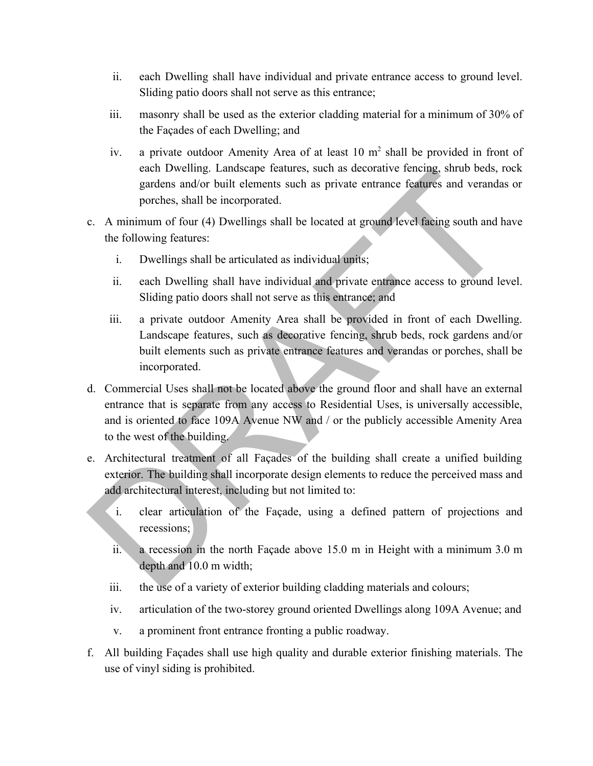- ii. each Dwelling shall have individual and private entrance access to ground level. Sliding patio doors shall not serve as this entrance;
- iii. masonry shall be used as the exterior cladding material for a minimum of 30% of the Façades of each Dwelling; and
- iv. a private outdoor Amenity Area of at least  $10 \text{ m}^2$  shall be provided in front of each Dwelling. Landscape features, such as decorative fencing, shrub beds, rock gardens and/or built elements such as private entrance features and verandas or porches, shall be incorporated.
- c. A minimum of four (4) Dwellings shall be located at ground level facing south and have the following features:
	- i. Dwellings shall be articulated as individual units;
	- ii. each Dwelling shall have individual and private entrance access to ground level. Sliding patio doors shall not serve as this entrance; and
	- iii. a private outdoor Amenity Area shall be provided in front of each Dwelling. Landscape features, such as decorative fencing, shrub beds, rock gardens and/or built elements such as private entrance features and verandas or porches, shall be incorporated.
- d. Commercial Uses shall not be located above the ground floor and shall have an external entrance that is separate from any access to Residential Uses, is universally accessible, and is oriented to face 109A Avenue NW and / or the publicly accessible Amenity Area to the west of the building. can Diverting. Tanascape teatures, sue as accorative telentig, simulo beas, re<br>gradens and/or built elements such as private entrance features and verandas<br>correlations, shall be incorporated.<br>C. A minimum of four (4) Div
- e. Architectural treatment of all Façades of the building shall create a unified building exterior. The building shall incorporate design elements to reduce the perceived mass and add architectural interest, including but not limited to:
	- i. clear articulation of the Façade, using a defined pattern of projections and recessions;
	- ii. a recession in the north Façade above 15.0 m in Height with a minimum 3.0 m depth and 10.0 m width;
	- iii. the use of a variety of exterior building cladding materials and colours;
	- iv. articulation of the two-storey ground oriented Dwellings along 109A Avenue; and
	- v. a prominent front entrance fronting a public roadway.
- f. All building Façades shall use high quality and durable exterior finishing materials. The use of vinyl siding is prohibited.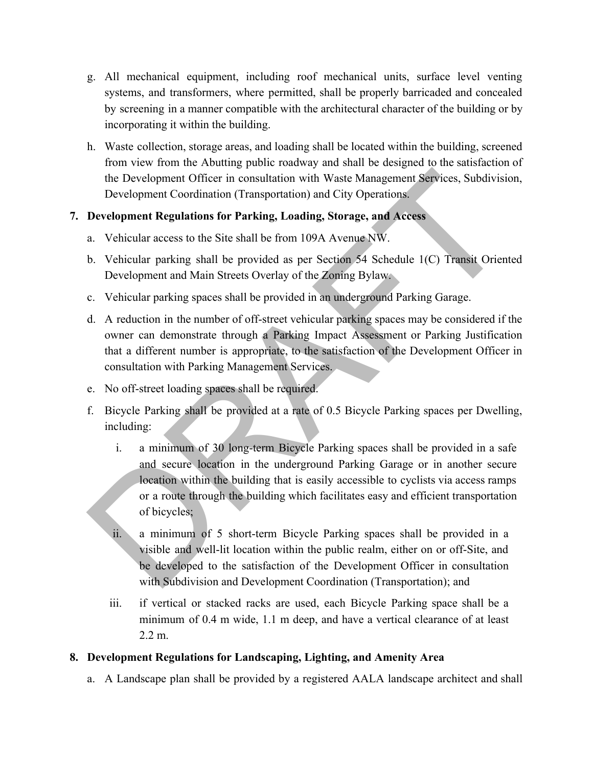- g. All mechanical equipment, including roof mechanical units, surface level venting systems, and transformers, where permitted, shall be properly barricaded and concealed by screening in a manner compatible with the architectural character of the building or by incorporating it within the building.
- h. Waste collection, storage areas, and loading shall be located within the building, screened from view from the Abutting public roadway and shall be designed to the satisfaction of the Development Officer in consultation with Waste Management Services, Subdivision, Development Coordination (Transportation) and City Operations.

# **7. Development Regulations for Parking, Loading, Storage, and Access**

- a. Vehicular access to the Site shall be from 109A Avenue NW.
- b. Vehicular parking shall be provided as per Section 54 Schedule 1(C) Transit Oriented Development and Main Streets Overlay of the Zoning Bylaw.
- c. Vehicular parking spaces shall be provided in an underground Parking Garage.
- d. A reduction in the number of off-street vehicular parking spaces may be considered if the owner can demonstrate through a Parking Impact Assessment or Parking Justification that a different number is appropriate, to the satisfaction of the Development Officer in consultation with Parking Management Services.
- e. No off-street loading spaces shall be required.
- f. Bicycle Parking shall be provided at a rate of 0.5 Bicycle Parking spaces per Dwelling, including:
- i. a minimum of 30 long-term Bicycle Parking spaces shall be provided in a safe and secure location in the underground Parking Garage or in another secure location within the building that is easily accessible to cyclists via access ramps or a route through the building which facilitates easy and efficient transportation of bicycles; The Development Officer in consultation with Waste Management Services, Subdivisia<br>
Development Coordination (Transportation) and City Operations<br>
Development Regulations for Parking, Loading, Storage, and Access<br>
2. Vehic
	- a minimum of 5 short-term Bicycle Parking spaces shall be provided in a visible and well-lit location within the public realm, either on or off-Site, and be developed to the satisfaction of the Development Officer in consultation with Subdivision and Development Coordination (Transportation); and
	- iii. if vertical or stacked racks are used, each Bicycle Parking space shall be a minimum of 0.4 m wide, 1.1 m deep, and have a vertical clearance of at least 2.2 m.

### **8. Development Regulations for Landscaping, Lighting, and Amenity Area**

a. A Landscape plan shall be provided by a registered AALA landscape architect and shall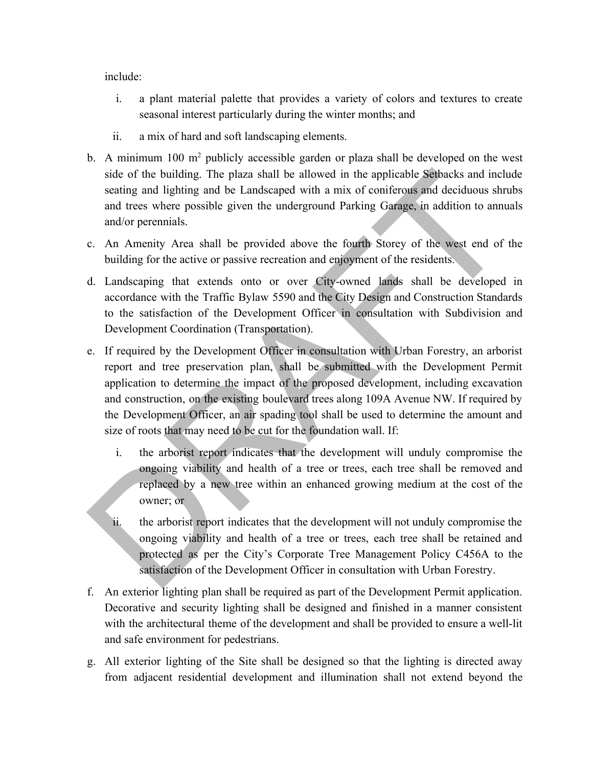include:

- i. a plant material palette that provides a variety of colors and textures to create seasonal interest particularly during the winter months; and
- ii. a mix of hard and soft landscaping elements.
- b. A minimum  $100 \text{ m}^2$  publicly accessible garden or plaza shall be developed on the west side of the building. The plaza shall be allowed in the applicable Setbacks and include seating and lighting and be Landscaped with a mix of coniferous and deciduous shrubs and trees where possible given the underground Parking Garage, in addition to annuals and/or perennials.
- c. An Amenity Area shall be provided above the fourth Storey of the west end of the building for the active or passive recreation and enjoyment of the residents.
- d. Landscaping that extends onto or over City-owned lands shall be developed in accordance with the Traffic Bylaw 5590 and the City Design and Construction Standards to the satisfaction of the Development Officer in consultation with Subdivision and Development Coordination (Transportation).
- e. If required by the Development Officer in consultation with Urban Forestry, an arborist report and tree preservation plan, shall be submitted with the Development Permit application to determine the impact of the proposed development, including excavation and construction, on the existing boulevard trees along 109A Avenue NW. If required by the Development Officer, an air spading tool shall be used to determine the amount and size of roots that may need to be cut for the foundation wall. If: side of the building. The plaza shall be allowed in the applicable Schacks and inclusted set<br>and inchuring and be Landscaped with a mix of coniferons and deciduous shm<br>and trees where possible given the underground Parking
	- i. the arborist report indicates that the development will unduly compromise the ongoing viability and health of a tree or trees, each tree shall be removed and replaced by a new tree within an enhanced growing medium at the cost of the owner; or
	- ii. the arborist report indicates that the development will not unduly compromise the ongoing viability and health of a tree or trees, each tree shall be retained and protected as per the City's Corporate Tree Management Policy C456A to the satisfaction of the Development Officer in consultation with Urban Forestry.
- f. An exterior lighting plan shall be required as part of the Development Permit application. Decorative and security lighting shall be designed and finished in a manner consistent with the architectural theme of the development and shall be provided to ensure a well-lit and safe environment for pedestrians.
- g. All exterior lighting of the Site shall be designed so that the lighting is directed away from adjacent residential development and illumination shall not extend beyond the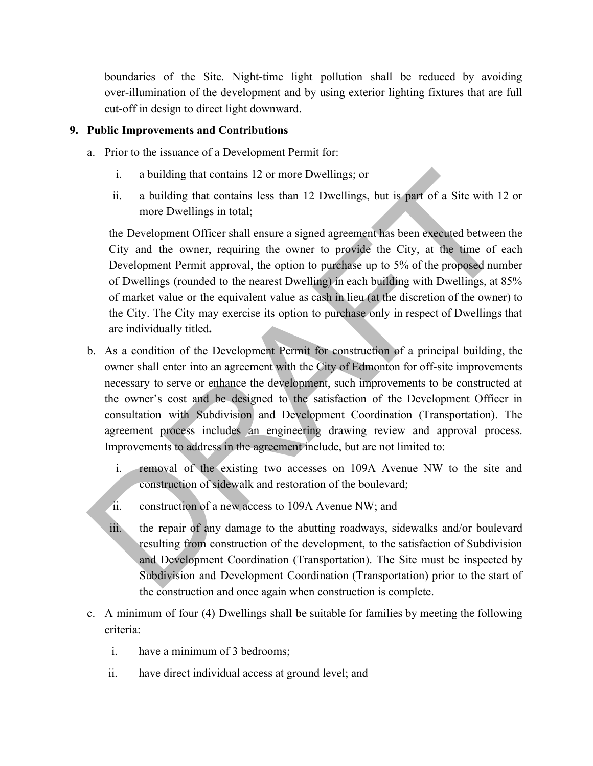boundaries of the Site. Night-time light pollution shall be reduced by avoiding over-illumination of the development and by using exterior lighting fixtures that are full cut-off in design to direct light downward.

#### **9. Public Improvements and Contributions**

- a. Prior to the issuance of a Development Permit for:
	- i. a building that contains 12 or more Dwellings; or
	- ii. a building that contains less than 12 Dwellings, but is part of a Site with 12 or more Dwellings in total;

the Development Officer shall ensure a signed agreement has been executed between the City and the owner, requiring the owner to provide the City, at the time of each Development Permit approval, the option to purchase up to 5% of the proposed number of Dwellings (rounded to the nearest Dwelling) in each building with Dwellings, at 85% of market value or the equivalent value as cash in lieu (at the discretion of the owner) to the City. The City may exercise its option to purchase only in respect of Dwellings that are individually titled**.**

- b. As a condition of the Development Permit for construction of a principal building, the owner shall enter into an agreement with the City of Edmonton for off-site improvements necessary to serve or enhance the development, such improvements to be constructed at the owner's cost and be designed to the satisfaction of the Development Officer in consultation with Subdivision and Development Coordination (Transportation). The agreement process includes an engineering drawing review and approval process. Improvements to address in the agreement include, but are not limited to: i. a building that contains 12 or more Dwellings; or<br>ii. a building that contains less than 12 Dwellings; or<br>ii. a building that contains less than 12 Dwellings, but is part of a Site with 12<br>more Dwellings in total;<br>the
	- i. removal of the existing two accesses on 109A Avenue NW to the site and construction of sidewalk and restoration of the boulevard;
	- ii. construction of a new access to 109A Avenue NW; and
	- iii. the repair of any damage to the abutting roadways, sidewalks and/or boulevard resulting from construction of the development, to the satisfaction of Subdivision and Development Coordination (Transportation). The Site must be inspected by Subdivision and Development Coordination (Transportation) prior to the start of the construction and once again when construction is complete.
- c. A minimum of four (4) Dwellings shall be suitable for families by meeting the following criteria:
	- i. have a minimum of 3 bedrooms;
	- ii. have direct individual access at ground level; and